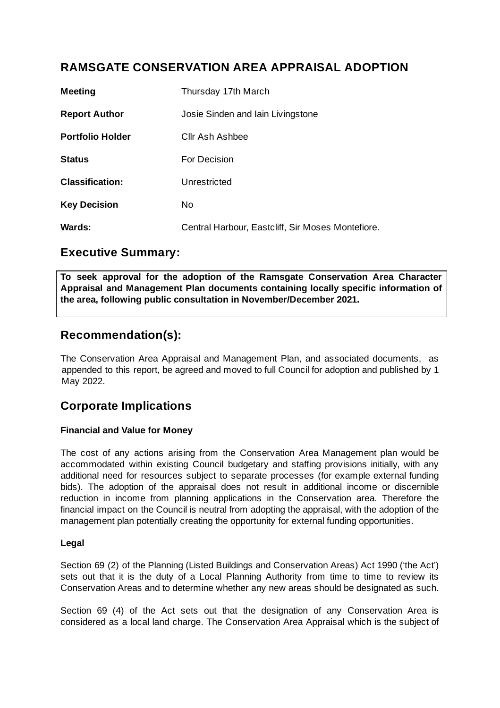# **RAMSGATE CONSERVATION AREA APPRAISAL ADOPTION**

| Meeting                 | Thursday 17th March                               |
|-------------------------|---------------------------------------------------|
| <b>Report Author</b>    | Josie Sinden and Iain Livingstone                 |
| <b>Portfolio Holder</b> | Cllr Ash Ashbee                                   |
| <b>Status</b>           | For Decision                                      |
| <b>Classification:</b>  | Unrestricted                                      |
| <b>Key Decision</b>     | No.                                               |
| <b>Wards:</b>           | Central Harbour, Eastcliff, Sir Moses Montefiore. |

### **Executive Summary:**

**To seek approval for the adoption of the Ramsgate Conservation Area Character Appraisal and Management Plan documents containing locally specific information of the area, following public consultation in November/December 2021.**

# **Recommendation(s):**

The Conservation Area Appraisal and Management Plan, and associated documents, as appended to this report, be agreed and moved to full Council for adoption and published by 1 May 2022.

# **Corporate Implications**

#### **Financial and Value for Money**

The cost of any actions arising from the Conservation Area Management plan would be accommodated within existing Council budgetary and staffing provisions initially, with any additional need for resources subject to separate processes (for example external funding bids). The adoption of the appraisal does not result in additional income or discernible reduction in income from planning applications in the Conservation area. Therefore the financial impact on the Council is neutral from adopting the appraisal, with the adoption of the management plan potentially creating the opportunity for external funding opportunities.

#### **Legal**

Section 69 (2) of the Planning (Listed Buildings and Conservation Areas) Act 1990 ('the Act') sets out that it is the duty of a Local Planning Authority from time to time to review its Conservation Areas and to determine whether any new areas should be designated as such.

Section 69 (4) of the Act sets out that the designation of any Conservation Area is considered as a local land charge. The Conservation Area Appraisal which is the subject of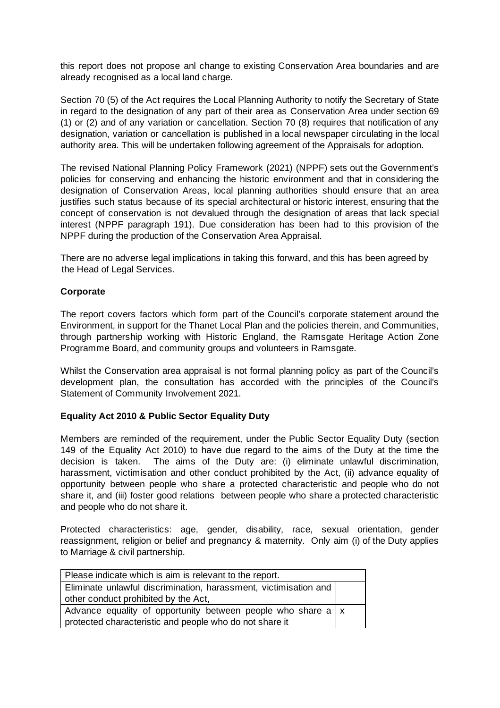this report does not propose anl change to existing Conservation Area boundaries and are already recognised as a local land charge.

Section 70 (5) of the Act requires the Local Planning Authority to notify the Secretary of State in regard to the designation of any part of their area as Conservation Area under section 69 (1) or (2) and of any variation or cancellation. Section 70 (8) requires that notification of any designation, variation or cancellation is published in a local newspaper circulating in the local authority area. This will be undertaken following agreement of the Appraisals for adoption.

The revised National Planning Policy Framework (2021) (NPPF) sets out the Government's policies for conserving and enhancing the historic environment and that in considering the designation of Conservation Areas, local planning authorities should ensure that an area justifies such status because of its special architectural or historic interest, ensuring that the concept of conservation is not devalued through the designation of areas that lack special interest (NPPF paragraph 191). Due consideration has been had to this provision of the NPPF during the production of the Conservation Area Appraisal.

There are no adverse legal implications in taking this forward, and this has been agreed by the Head of Legal Services.

#### **Corporate**

The report covers factors which form part of the Council's corporate statement around the Environment, in support for the Thanet Local Plan and the policies therein, and Communities, through partnership working with Historic England, the Ramsgate Heritage Action Zone Programme Board, and community groups and volunteers in Ramsgate.

Whilst the Conservation area appraisal is not formal planning policy as part of the Council's development plan, the consultation has accorded with the principles of the Council's Statement of Community Involvement 2021.

#### **Equality Act 2010 & Public Sector Equality Duty**

Members are reminded of the requirement, under the Public Sector Equality Duty (section 149 of the Equality Act 2010) to have due regard to the aims of the Duty at the time the decision is taken. The aims of the Duty are: (i) eliminate unlawful discrimination, harassment, victimisation and other conduct prohibited by the Act, (ii) advance equality of opportunity between people who share a protected characteristic and people who do not share it, and (iii) foster good relations between people who share a protected characteristic and people who do not share it.

Protected characteristics: age, gender, disability, race, sexual orientation, gender reassignment, religion or belief and pregnancy & maternity. Only aim (i) of the Duty applies to Marriage & civil partnership.

| Please indicate which is aim is relevant to the report.                    |  |  |
|----------------------------------------------------------------------------|--|--|
| Eliminate unlawful discrimination, harassment, victimisation and           |  |  |
| other conduct prohibited by the Act,                                       |  |  |
| Advance equality of opportunity between people who share a $\vert x \vert$ |  |  |
| protected characteristic and people who do not share it                    |  |  |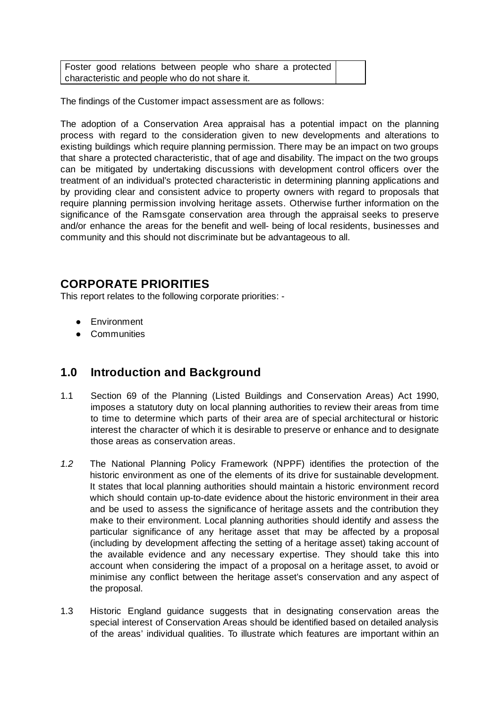Foster good relations between people who share a protected characteristic and people who do not share it.

The findings of the Customer impact assessment are as follows:

The adoption of a Conservation Area appraisal has a potential impact on the planning process with regard to the consideration given to new developments and alterations to existing buildings which require planning permission. There may be an impact on two groups that share a protected characteristic, that of age and disability. The impact on the two groups can be mitigated by undertaking discussions with development control officers over the treatment of an individual's protected characteristic in determining planning applications and by providing clear and consistent advice to property owners with regard to proposals that require planning permission involving heritage assets. Otherwise further information on the significance of the Ramsgate conservation area through the appraisal seeks to preserve and/or enhance the areas for the benefit and well- being of local residents, businesses and community and this should not discriminate but be advantageous to all.

#### **CORPORATE PRIORITIES**

This report relates to the following corporate priorities: -

- Environment
- Communities

### **1.0 Introduction and Background**

- 1.1 Section 69 of the Planning (Listed Buildings and Conservation Areas) Act 1990, imposes a statutory duty on local planning authorities to review their areas from time to time to determine which parts of their area are of special architectural or historic interest the character of which it is desirable to preserve or enhance and to designate those areas as conservation areas.
- *1.2* The National Planning Policy Framework (NPPF) identifies the protection of the historic environment as one of the elements of its drive for sustainable development. It states that local planning authorities should maintain a historic environment record which should contain up-to-date evidence about the historic environment in their area and be used to assess the significance of heritage assets and the contribution they make to their environment. Local planning authorities should identify and assess the particular significance of any heritage asset that may be affected by a proposal (including by development affecting the setting of a heritage asset) taking account of the available evidence and any necessary expertise. They should take this into account when considering the impact of a proposal on a heritage asset, to avoid or minimise any conflict between the heritage asset's conservation and any aspect of the proposal.
- 1.3 Historic England guidance suggests that in designating conservation areas the special interest of Conservation Areas should be identified based on detailed analysis of the areas' individual qualities. To illustrate which features are important within an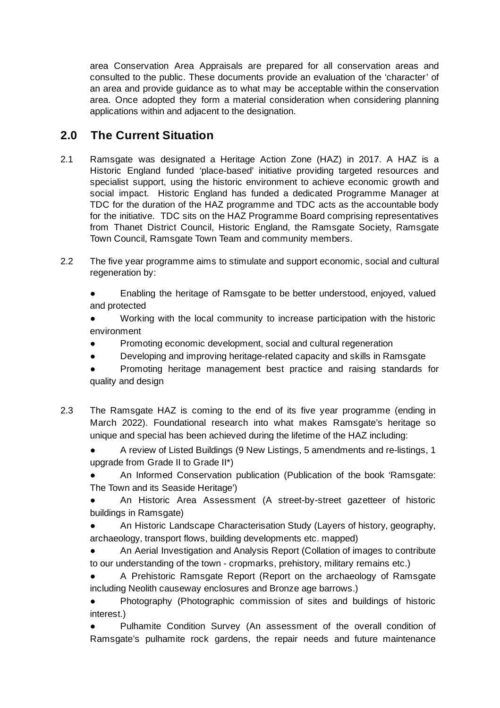area Conservation Area Appraisals are prepared for all conservation areas and consulted to the public. These documents provide an evaluation of the 'character' of an area and provide guidance as to what may be acceptable within the conservation area. Once adopted they form a material consideration when considering planning applications within and adjacent to the designation.

# **2.0 The Current Situation**

- 2.1 Ramsgate was designated a Heritage Action Zone (HAZ) in 2017. A HAZ is a Historic England funded 'place-based' initiative providing targeted resources and specialist support, using the historic environment to achieve economic growth and social impact. Historic England has funded a dedicated Programme Manager at TDC for the duration of the HAZ programme and TDC acts as the accountable body for the initiative. TDC sits on the HAZ Programme Board comprising representatives from Thanet District Council, Historic England, the Ramsgate Society, Ramsgate Town Council, Ramsgate Town Team and community members.
- 2.2 The five year programme aims to stimulate and support economic, social and cultural regeneration by:

Enabling the heritage of Ramsgate to be better understood, enjoyed, valued and protected

Working with the local community to increase participation with the historic environment

- Promoting economic development, social and cultural regeneration
- Developing and improving heritage-related capacity and skills in Ramsgate

Promoting heritage management best practice and raising standards for quality and design

- 2.3 The Ramsgate HAZ is coming to the end of its five year programme (ending in March 2022). Foundational research into what makes Ramsgate's heritage so unique and special has been achieved during the lifetime of the HAZ including:
	- A review of Listed Buildings (9 New Listings, 5 amendments and re-listings, 1 upgrade from Grade II to Grade II\*)

An Informed Conservation publication (Publication of the book 'Ramsgate: The Town and its Seaside Heritage')

An Historic Area Assessment (A street-by-street gazetteer of historic buildings in Ramsgate)

- An Historic Landscape Characterisation Study (Layers of history, geography, archaeology, transport flows, building developments etc. mapped)
- An Aerial Investigation and Analysis Report (Collation of images to contribute to our understanding of the town - cropmarks, prehistory, military remains etc.)

A Prehistoric Ramsgate Report (Report on the archaeology of Ramsgate including Neolith causeway enclosures and Bronze age barrows.)

● Photography (Photographic commission of sites and buildings of historic interest.)

Pulhamite Condition Survey (An assessment of the overall condition of Ramsgate's pulhamite rock gardens, the repair needs and future maintenance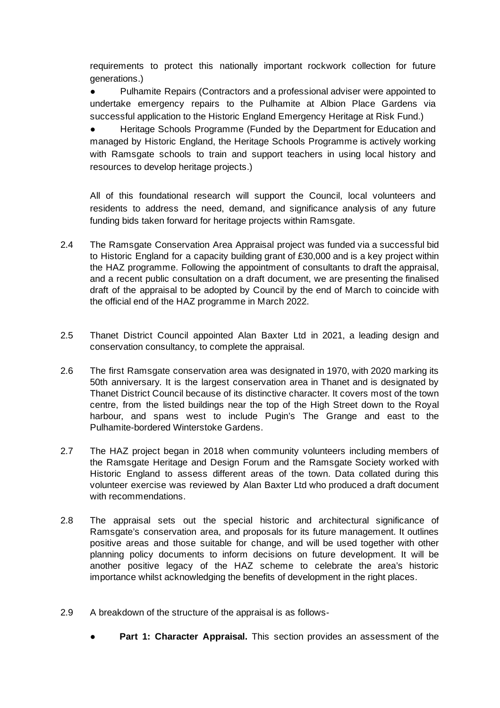requirements to protect this nationally important rockwork collection for future generations.)

● Pulhamite Repairs (Contractors and a professional adviser were appointed to undertake emergency repairs to the Pulhamite at Albion Place Gardens via successful application to the Historic England Emergency Heritage at Risk Fund.)

● Heritage Schools Programme (Funded by the Department for Education and managed by Historic England, the Heritage Schools Programme is actively working with Ramsgate schools to train and support teachers in using local history and resources to develop heritage projects.)

All of this foundational research will support the Council, local volunteers and residents to address the need, demand, and significance analysis of any future funding bids taken forward for heritage projects within Ramsgate.

- 2.4 The Ramsgate Conservation Area Appraisal project was funded via a successful bid to Historic England for a capacity building grant of £30,000 and is a key project within the HAZ programme. Following the appointment of consultants to draft the appraisal, and a recent public consultation on a draft document, we are presenting the finalised draft of the appraisal to be adopted by Council by the end of March to coincide with the official end of the HAZ programme in March 2022.
- 2.5 Thanet District Council appointed Alan Baxter Ltd in 2021, a leading design and conservation consultancy, to complete the appraisal.
- 2.6 The first Ramsgate conservation area was designated in 1970, with 2020 marking its 50th anniversary. It is the largest conservation area in Thanet and is designated by Thanet District Council because of its distinctive character. It covers most of the town centre, from the listed buildings near the top of the High Street down to the Royal harbour, and spans west to include Pugin's The Grange and east to the Pulhamite-bordered Winterstoke Gardens.
- 2.7 The HAZ project began in 2018 when community volunteers including members of the Ramsgate Heritage and Design Forum and the Ramsgate Society worked with Historic England to assess different areas of the town. Data collated during this volunteer exercise was reviewed by Alan Baxter Ltd who produced a draft document with recommendations.
- 2.8 The appraisal sets out the special historic and architectural significance of Ramsgate's conservation area, and proposals for its future management. It outlines positive areas and those suitable for change, and will be used together with other planning policy documents to inform decisions on future development. It will be another positive legacy of the HAZ scheme to celebrate the area's historic importance whilst acknowledging the benefits of development in the right places.
- 2.9 A breakdown of the structure of the appraisal is as follows-
	- **Part 1: Character Appraisal.** This section provides an assessment of the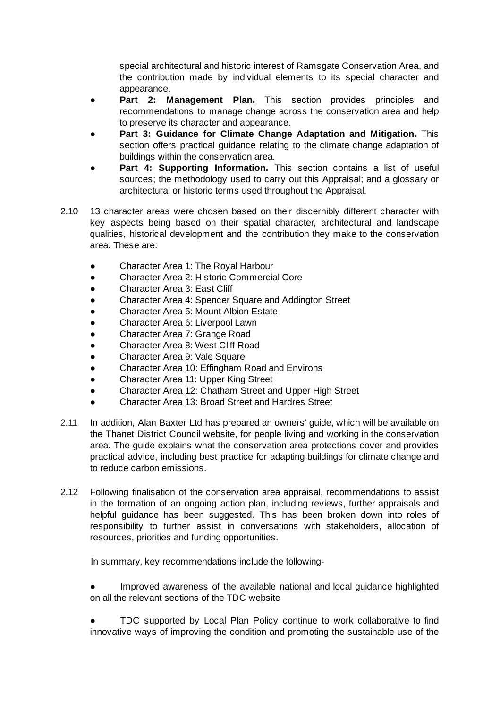special architectural and historic interest of Ramsgate Conservation Area, and the contribution made by individual elements to its special character and appearance.

- **Part 2: Management Plan.** This section provides principles and recommendations to manage change across the conservation area and help to preserve its character and appearance.
- **Part 3: Guidance for Climate Change Adaptation and Mitigation.** This section offers practical guidance relating to the climate change adaptation of buildings within the conservation area.
- **Part 4: Supporting Information.** This section contains a list of useful sources; the methodology used to carry out this Appraisal; and a glossary or architectural or historic terms used throughout the Appraisal.
- 2.10 13 character areas were chosen based on their discernibly different character with key aspects being based on their spatial character, architectural and landscape qualities, historical development and the contribution they make to the conservation area. These are:
	- Character Area 1: The Royal Harbour
	- Character Area 2: Historic Commercial Core
	- Character Area 3: East Cliff
	- Character Area 4: Spencer Square and Addington Street
	- Character Area 5: Mount Albion Estate
	- Character Area 6: Liverpool Lawn
	- Character Area 7: Grange Road
	- Character Area 8: West Cliff Road
	- Character Area 9: Vale Square
	- Character Area 10: Effingham Road and Environs
	- Character Area 11: Upper King Street
	- Character Area 12: Chatham Street and Upper High Street
	- Character Area 13: Broad Street and Hardres Street
- 2.11 In addition, Alan Baxter Ltd has prepared an owners' guide, which will be available on the Thanet District Council website, for people living and working in the conservation area. The guide explains what the conservation area protections cover and provides practical advice, including best practice for adapting buildings for climate change and to reduce carbon emissions.
- 2.12 Following finalisation of the conservation area appraisal, recommendations to assist in the formation of an ongoing action plan, including reviews, further appraisals and helpful guidance has been suggested. This has been broken down into roles of responsibility to further assist in conversations with stakeholders, allocation of resources, priorities and funding opportunities.

In summary, key recommendations include the following-

Improved awareness of the available national and local quidance highlighted on all the relevant sections of the TDC website

*●* TDC supported by Local Plan Policy continue to work collaborative to find innovative ways of improving the condition and promoting the sustainable use of the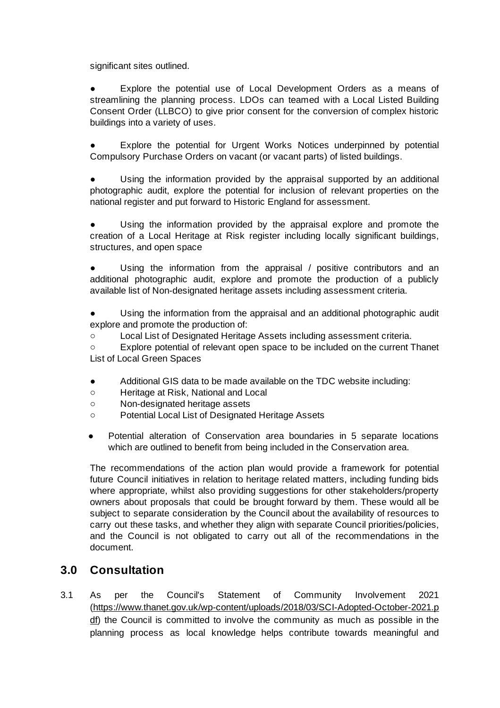significant sites outlined.

Explore the potential use of Local Development Orders as a means of streamlining the planning process. LDOs can teamed with a Local Listed Building Consent Order (LLBCO) to give prior consent for the conversion of complex historic buildings into a variety of uses.

Explore the potential for Urgent Works Notices underpinned by potential Compulsory Purchase Orders on vacant (or vacant parts) of listed buildings.

Using the information provided by the appraisal supported by an additional photographic audit, explore the potential for inclusion of relevant properties on the national register and put forward to Historic England for assessment.

Using the information provided by the appraisal explore and promote the creation of a Local Heritage at Risk register including locally significant buildings, structures, and open space

Using the information from the appraisal / positive contributors and an additional photographic audit, explore and promote the production of a publicly available list of Non-designated heritage assets including assessment criteria.

Using the information from the appraisal and an additional photographic audit explore and promote the production of:

○ Local List of Designated Heritage Assets including assessment criteria.

○ Explore potential of relevant open space to be included on the current Thanet List of Local Green Spaces

- Additional GIS data to be made available on the TDC website including:
- Heritage at Risk, National and Local
- Non-designated heritage assets
- Potential Local List of Designated Heritage Assets
- Potential alteration of Conservation area boundaries in 5 separate locations which are outlined to benefit from being included in the Conservation area.

The recommendations of the action plan would provide a framework for potential future Council initiatives in relation to heritage related matters, including funding bids where appropriate, whilst also providing suggestions for other stakeholders/property owners about proposals that could be brought forward by them. These would all be subject to separate consideration by the Council about the availability of resources to carry out these tasks, and whether they align with separate Council priorities/policies, and the Council is not obligated to carry out all of the recommendations in the document.

### **3.0 Consultation**

3.1 As per the Council's Statement of Community Involvement 2021 ([https://www.thanet.gov.uk/wp-content/uploads/2018/03/SCI-Adopted-October-2021.p](https://www.thanet.gov.uk/wp-content/uploads/2018/03/SCI-Adopted-October-2021.pdf) [df](https://www.thanet.gov.uk/wp-content/uploads/2018/03/SCI-Adopted-October-2021.pdf)) the Council is committed to involve the community as much as possible in the planning process as local knowledge helps contribute towards meaningful and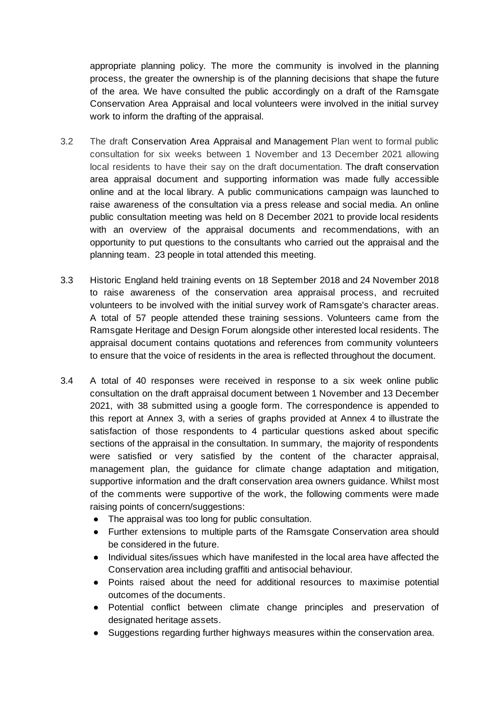appropriate planning policy. The more the community is involved in the planning process, the greater the ownership is of the planning decisions that shape the future of the area. We have consulted the public accordingly on a draft of the Ramsgate Conservation Area Appraisal and local volunteers were involved in the initial survey work to inform the drafting of the appraisal.

- 3.2 The draft Conservation Area Appraisal and Management Plan went to formal public consultation for six weeks between 1 November and 13 December 2021 allowing local residents to have their say on the draft documentation. The draft conservation area appraisal document and supporting information was made fully accessible online and at the local library. A public communications campaign was launched to raise awareness of the consultation via a press release and social media. An online public consultation meeting was held on 8 December 2021 to provide local residents with an overview of the appraisal documents and recommendations, with an opportunity to put questions to the consultants who carried out the appraisal and the planning team. 23 people in total attended this meeting.
- 3.3 Historic England held training events on 18 September 2018 and 24 November 2018 to raise awareness of the conservation area appraisal process, and recruited volunteers to be involved with the initial survey work of Ramsgate's character areas. A total of 57 people attended these training sessions. Volunteers came from the Ramsgate Heritage and Design Forum alongside other interested local residents. The appraisal document contains quotations and references from community volunteers to ensure that the voice of residents in the area is reflected throughout the document.
- 3.4 A total of 40 responses were received in response to a six week online public consultation on the draft appraisal document between 1 November and 13 December 2021, with 38 submitted using a google form. The correspondence is appended to this report at Annex 3, with a series of graphs provided at Annex 4 to illustrate the satisfaction of those respondents to 4 particular questions asked about specific sections of the appraisal in the consultation. In summary, the majority of respondents were satisfied or very satisfied by the content of the character appraisal, management plan, the guidance for climate change adaptation and mitigation, supportive information and the draft conservation area owners guidance. Whilst most of the comments were supportive of the work, the following comments were made raising points of concern/suggestions:
	- The appraisal was too long for public consultation.
	- Further extensions to multiple parts of the Ramsgate Conservation area should be considered in the future.
	- Individual sites/issues which have manifested in the local area have affected the Conservation area including graffiti and antisocial behaviour.
	- Points raised about the need for additional resources to maximise potential outcomes of the documents.
	- Potential conflict between climate change principles and preservation of designated heritage assets.
	- Suggestions regarding further highways measures within the conservation area.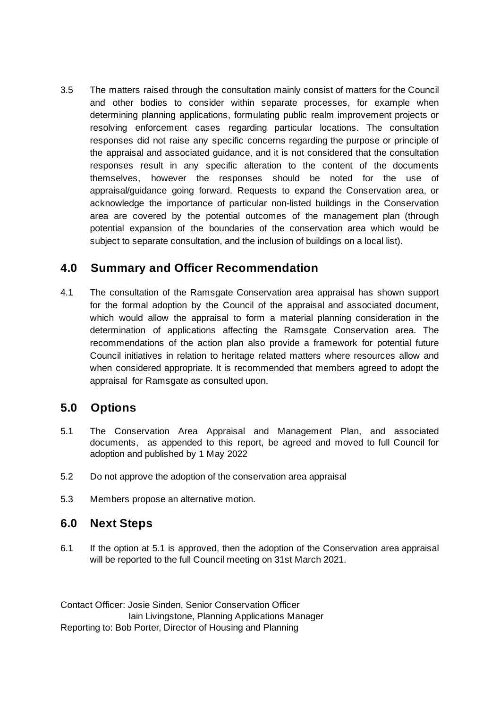3.5 The matters raised through the consultation mainly consist of matters for the Council and other bodies to consider within separate processes, for example when determining planning applications, formulating public realm improvement projects or resolving enforcement cases regarding particular locations. The consultation responses did not raise any specific concerns regarding the purpose or principle of the appraisal and associated guidance, and it is not considered that the consultation responses result in any specific alteration to the content of the documents themselves, however the responses should be noted for the use of appraisal/guidance going forward. Requests to expand the Conservation area, or acknowledge the importance of particular non-listed buildings in the Conservation area are covered by the potential outcomes of the management plan (through potential expansion of the boundaries of the conservation area which would be subject to separate consultation, and the inclusion of buildings on a local list).

### **4.0 Summary and Officer Recommendation**

4.1 The consultation of the Ramsgate Conservation area appraisal has shown support for the formal adoption by the Council of the appraisal and associated document, which would allow the appraisal to form a material planning consideration in the determination of applications affecting the Ramsgate Conservation area. The recommendations of the action plan also provide a framework for potential future Council initiatives in relation to heritage related matters where resources allow and when considered appropriate. It is recommended that members agreed to adopt the appraisal for Ramsgate as consulted upon.

### **5.0 Options**

- 5.1 The Conservation Area Appraisal and Management Plan, and associated documents, as appended to this report, be agreed and moved to full Council for adoption and published by 1 May 2022
- 5.2 Do not approve the adoption of the conservation area appraisal
- 5.3 Members propose an alternative motion.

### **6.0 Next Steps**

6.1 If the option at 5.1 is approved, then the adoption of the Conservation area appraisal will be reported to the full Council meeting on 31st March 2021.

Contact Officer: Josie Sinden, Senior Conservation Officer Iain Livingstone, Planning Applications Manager Reporting to: Bob Porter, Director of Housing and Planning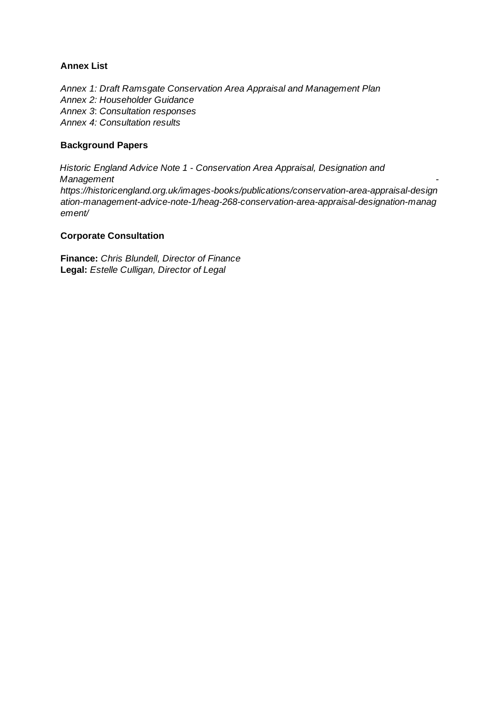#### **Annex List**

*Annex 1: Draft Ramsgate Conservation Area Appraisal and Management Plan Annex 2: Householder Guidance Annex 3*: *Consultation responses Annex 4: Consultation results*

#### **Background Papers**

*Historic England Advice Note 1 - Conservation Area Appraisal, Designation and Management https://historicengland.org.uk/images-books/publications/conservation-area-appraisal-design ation-management-advice-note-1/heag-268-conservation-area-appraisal-designation-manag ement/*

#### **Corporate Consultation**

**Finance:** *Chris Blundell, Director of Finance* **Legal:** *Estelle Culligan, Director of Legal*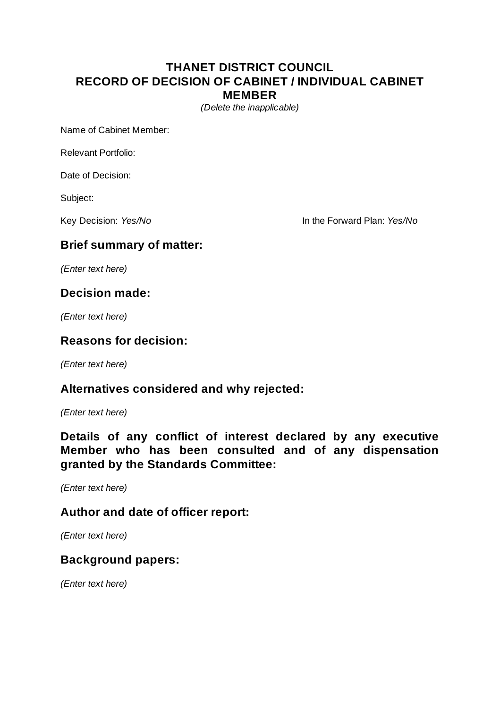### **THANET DISTRICT COUNCIL RECORD OF DECISION OF CABINET / INDIVIDUAL CABINET MEMBER**

*(Delete the inapplicable)*

Name of Cabinet Member:

Relevant Portfolio:

Date of Decision:

Subject:

Key Decision: *Yes/No* **In the Forward Plan:** *Yes/No* 

### **Brief summary of matter:**

*(Enter text here)*

### **Decision made:**

*(Enter text here)*

#### **Reasons for decision:**

*(Enter text here)*

### **Alternatives considered and why rejected:**

*(Enter text here)*

**Details of any conflict of interest declared by any executive Member who has been consulted and of any dispensation granted by the Standards Committee:**

*(Enter text here)*

#### **Author and date of officer report:**

*(Enter text here)*

#### **Background papers:**

*(Enter text here)*